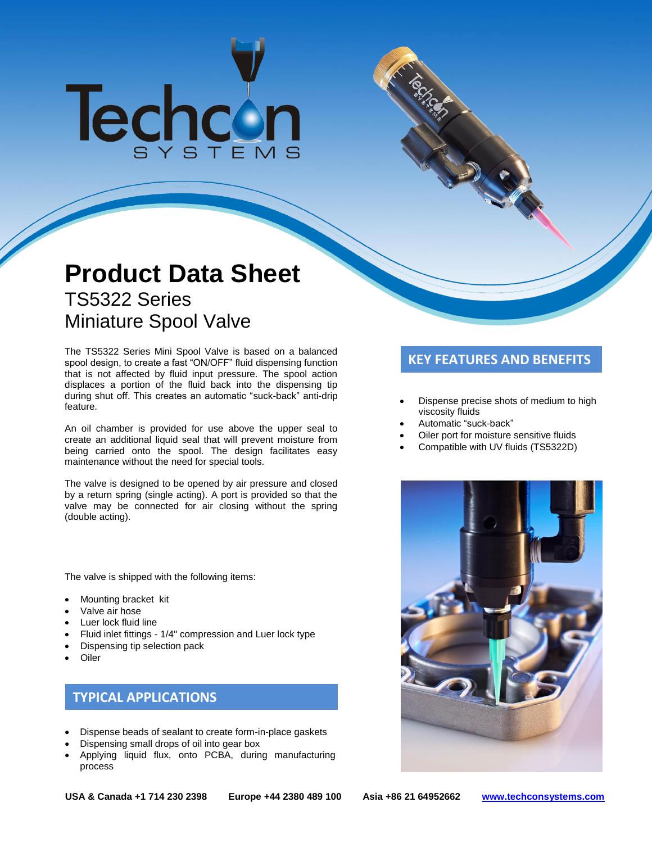# Techcon

# **Product Data Sheet** TS5322 Series Miniature Spool Valve

The TS5322 Series Mini Spool Valve is based on a balanced<br>spool design, to create a fast "ON/OFF" fluid dispensing function **KEY FEATURES AND BENEFITS** that is not affected by fluid input pressure. The spool action displaces a portion of the fluid back into the dispensing tip during shut off. This creates an automatic "suck-back" anti-drip feature.

An oil chamber is provided for use above the upper seal to create an additional liquid seal that will prevent moisture from being carried onto the spool. The design facilitates easy maintenance without the need for special tools.

The valve is designed to be opened by air pressure and closed by a return spring (single acting). A port is provided so that the valve may be connected for air closing without the spring (double acting).

The valve is shipped with the following items:

- Mounting bracket kit
- Valve air hose
- Luer lock fluid line
- Fluid inlet fittings 1/4" compression and Luer lock type
- Dispensing tip selection pack
- **Oiler**

# **TYPICAL APPLICATIONS**

- Dispense beads of sealant to create form-in-place gaskets
- Dispensing small drops of oil into gear box
- Applying liquid flux, onto PCBA, during manufacturing process

- Dispense precise shots of medium to high viscosity fluids
- Automatic "suck-back"
- Oiler port for moisture sensitive fluids
- Compatible with UV fluids (TS5322D)